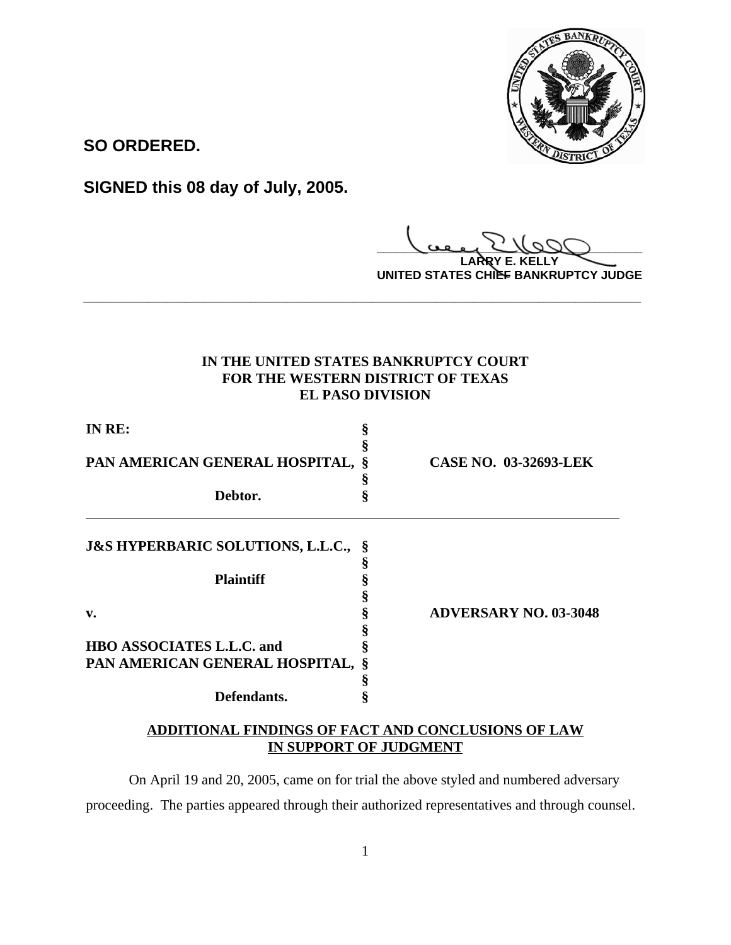

**SO ORDERED.**

**SIGNED this 08 day of July, 2005.**

**\_\_\_\_\_\_\_\_\_\_\_\_\_\_\_\_\_\_\_\_\_\_\_\_\_\_\_\_\_\_\_\_\_\_\_\_\_\_\_\_**

**LARRY E. KELLY UNITED STATES CHIEF BANKRUPTCY JUDGE**

# **IN THE UNITED STATES BANKRUPTCY COURT FOR THE WESTERN DISTRICT OF TEXAS EL PASO DIVISION**

**\_\_\_\_\_\_\_\_\_\_\_\_\_\_\_\_\_\_\_\_\_\_\_\_\_\_\_\_\_\_\_\_\_\_\_\_\_\_\_\_\_\_\_\_\_\_\_\_\_\_\_\_\_\_\_\_\_\_\_\_**

| IN RE:                                         |   |                              |
|------------------------------------------------|---|------------------------------|
| PAN AMERICAN GENERAL HOSPITAL, §               | 8 | <b>CASE NO. 03-32693-LEK</b> |
| Debtor.                                        | ş |                              |
| <b>J&amp;S HYPERBARIC SOLUTIONS, L.L.C., §</b> |   |                              |
| <b>Plaintiff</b>                               |   |                              |
| v.                                             |   | <b>ADVERSARY NO. 03-3048</b> |
| <b>HBO ASSOCIATES L.L.C. and</b>               |   |                              |
| PAN AMERICAN GENERAL HOSPITAL, §               |   |                              |
|                                                |   |                              |
| Defendants.                                    |   |                              |

# **ADDITIONAL FINDINGS OF FACT AND CONCLUSIONS OF LAW IN SUPPORT OF JUDGMENT**

On April 19 and 20, 2005, came on for trial the above styled and numbered adversary proceeding. The parties appeared through their authorized representatives and through counsel.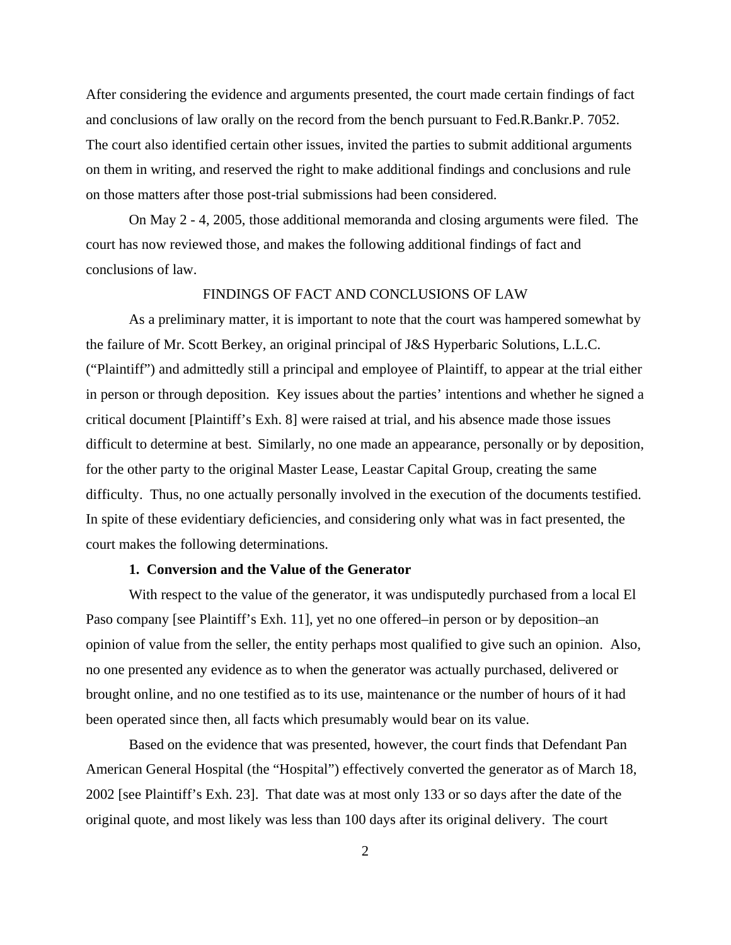After considering the evidence and arguments presented, the court made certain findings of fact and conclusions of law orally on the record from the bench pursuant to Fed.R.Bankr.P. 7052. The court also identified certain other issues, invited the parties to submit additional arguments on them in writing, and reserved the right to make additional findings and conclusions and rule on those matters after those post-trial submissions had been considered.

On May 2 - 4, 2005, those additional memoranda and closing arguments were filed. The court has now reviewed those, and makes the following additional findings of fact and conclusions of law.

### FINDINGS OF FACT AND CONCLUSIONS OF LAW

As a preliminary matter, it is important to note that the court was hampered somewhat by the failure of Mr. Scott Berkey, an original principal of J&S Hyperbaric Solutions, L.L.C. ("Plaintiff") and admittedly still a principal and employee of Plaintiff, to appear at the trial either in person or through deposition. Key issues about the parties' intentions and whether he signed a critical document [Plaintiff's Exh. 8] were raised at trial, and his absence made those issues difficult to determine at best. Similarly, no one made an appearance, personally or by deposition, for the other party to the original Master Lease, Leastar Capital Group, creating the same difficulty. Thus, no one actually personally involved in the execution of the documents testified. In spite of these evidentiary deficiencies, and considering only what was in fact presented, the court makes the following determinations.

## **1. Conversion and the Value of the Generator**

With respect to the value of the generator, it was undisputedly purchased from a local El Paso company [see Plaintiff's Exh. 11], yet no one offered–in person or by deposition–an opinion of value from the seller, the entity perhaps most qualified to give such an opinion. Also, no one presented any evidence as to when the generator was actually purchased, delivered or brought online, and no one testified as to its use, maintenance or the number of hours of it had been operated since then, all facts which presumably would bear on its value.

Based on the evidence that was presented, however, the court finds that Defendant Pan American General Hospital (the "Hospital") effectively converted the generator as of March 18, 2002 [see Plaintiff's Exh. 23]. That date was at most only 133 or so days after the date of the original quote, and most likely was less than 100 days after its original delivery. The court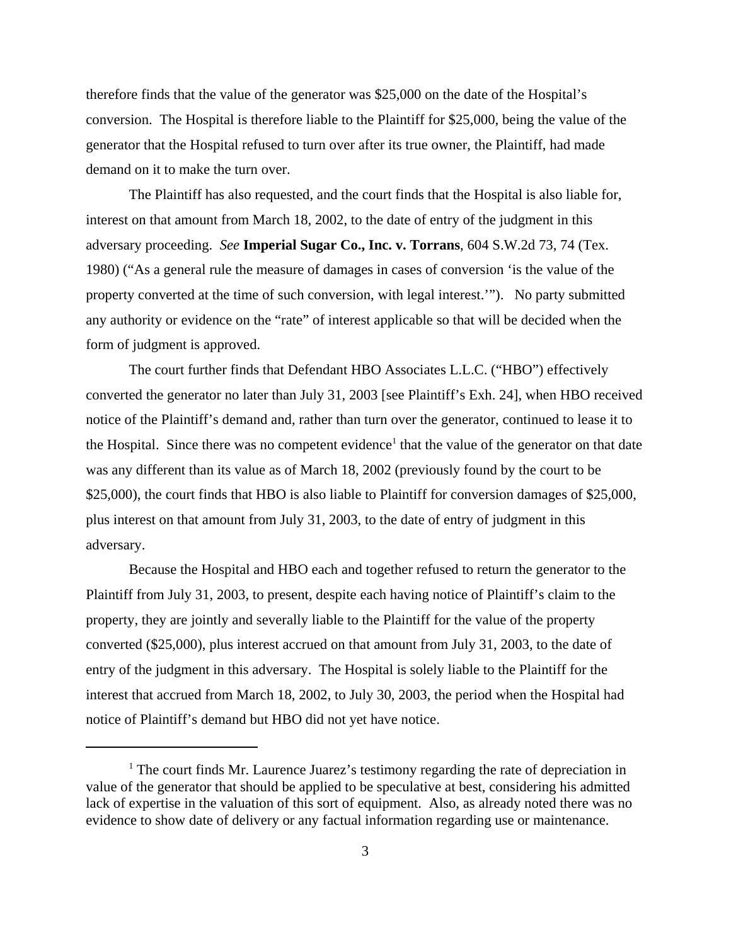therefore finds that the value of the generator was \$25,000 on the date of the Hospital's conversion. The Hospital is therefore liable to the Plaintiff for \$25,000, being the value of the generator that the Hospital refused to turn over after its true owner, the Plaintiff, had made demand on it to make the turn over.

The Plaintiff has also requested, and the court finds that the Hospital is also liable for, interest on that amount from March 18, 2002, to the date of entry of the judgment in this adversary proceeding. *See* **Imperial Sugar Co., Inc. v. Torrans**, 604 S.W.2d 73, 74 (Tex. 1980) ("As a general rule the measure of damages in cases of conversion 'is the value of the property converted at the time of such conversion, with legal interest.'"). No party submitted any authority or evidence on the "rate" of interest applicable so that will be decided when the form of judgment is approved.

The court further finds that Defendant HBO Associates L.L.C. ("HBO") effectively converted the generator no later than July 31, 2003 [see Plaintiff's Exh. 24], when HBO received notice of the Plaintiff's demand and, rather than turn over the generator, continued to lease it to the Hospital. Since there was no competent evidence<sup>1</sup> that the value of the generator on that date was any different than its value as of March 18, 2002 (previously found by the court to be \$25,000), the court finds that HBO is also liable to Plaintiff for conversion damages of \$25,000, plus interest on that amount from July 31, 2003, to the date of entry of judgment in this adversary.

Because the Hospital and HBO each and together refused to return the generator to the Plaintiff from July 31, 2003, to present, despite each having notice of Plaintiff's claim to the property, they are jointly and severally liable to the Plaintiff for the value of the property converted (\$25,000), plus interest accrued on that amount from July 31, 2003, to the date of entry of the judgment in this adversary. The Hospital is solely liable to the Plaintiff for the interest that accrued from March 18, 2002, to July 30, 2003, the period when the Hospital had notice of Plaintiff's demand but HBO did not yet have notice.

<sup>&</sup>lt;sup>1</sup> The court finds Mr. Laurence Juarez's testimony regarding the rate of depreciation in value of the generator that should be applied to be speculative at best, considering his admitted lack of expertise in the valuation of this sort of equipment. Also, as already noted there was no evidence to show date of delivery or any factual information regarding use or maintenance.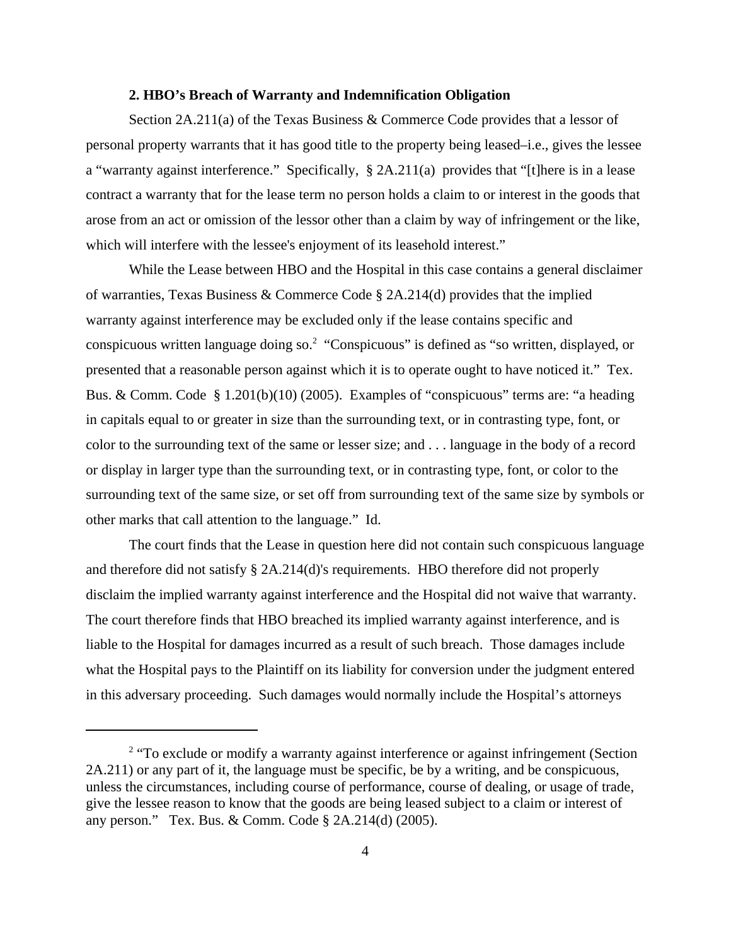#### **2. HBO's Breach of Warranty and Indemnification Obligation**

Section  $2A.211(a)$  of the Texas Business & Commerce Code provides that a lessor of personal property warrants that it has good title to the property being leased–i.e., gives the lessee a "warranty against interference." Specifically, § 2A.211(a) provides that "[t]here is in a lease contract a warranty that for the lease term no person holds a claim to or interest in the goods that arose from an act or omission of the lessor other than a claim by way of infringement or the like, which will interfere with the lessee's enjoyment of its leasehold interest."

While the Lease between HBO and the Hospital in this case contains a general disclaimer of warranties, Texas Business & Commerce Code § 2A.214(d) provides that the implied warranty against interference may be excluded only if the lease contains specific and conspicuous written language doing so.<sup>2</sup> "Conspicuous" is defined as "so written, displayed, or presented that a reasonable person against which it is to operate ought to have noticed it." Tex. Bus. & Comm. Code § 1.201(b)(10) (2005). Examples of "conspicuous" terms are: "a heading in capitals equal to or greater in size than the surrounding text, or in contrasting type, font, or color to the surrounding text of the same or lesser size; and . . . language in the body of a record or display in larger type than the surrounding text, or in contrasting type, font, or color to the surrounding text of the same size, or set off from surrounding text of the same size by symbols or other marks that call attention to the language." Id.

The court finds that the Lease in question here did not contain such conspicuous language and therefore did not satisfy § 2A.214(d)'s requirements. HBO therefore did not properly disclaim the implied warranty against interference and the Hospital did not waive that warranty. The court therefore finds that HBO breached its implied warranty against interference, and is liable to the Hospital for damages incurred as a result of such breach. Those damages include what the Hospital pays to the Plaintiff on its liability for conversion under the judgment entered in this adversary proceeding. Such damages would normally include the Hospital's attorneys

<sup>&</sup>lt;sup>2</sup> "To exclude or modify a warranty against interference or against infringement (Section 2A.211) or any part of it, the language must be specific, be by a writing, and be conspicuous, unless the circumstances, including course of performance, course of dealing, or usage of trade, give the lessee reason to know that the goods are being leased subject to a claim or interest of any person." Tex. Bus. & Comm. Code § 2A.214(d) (2005).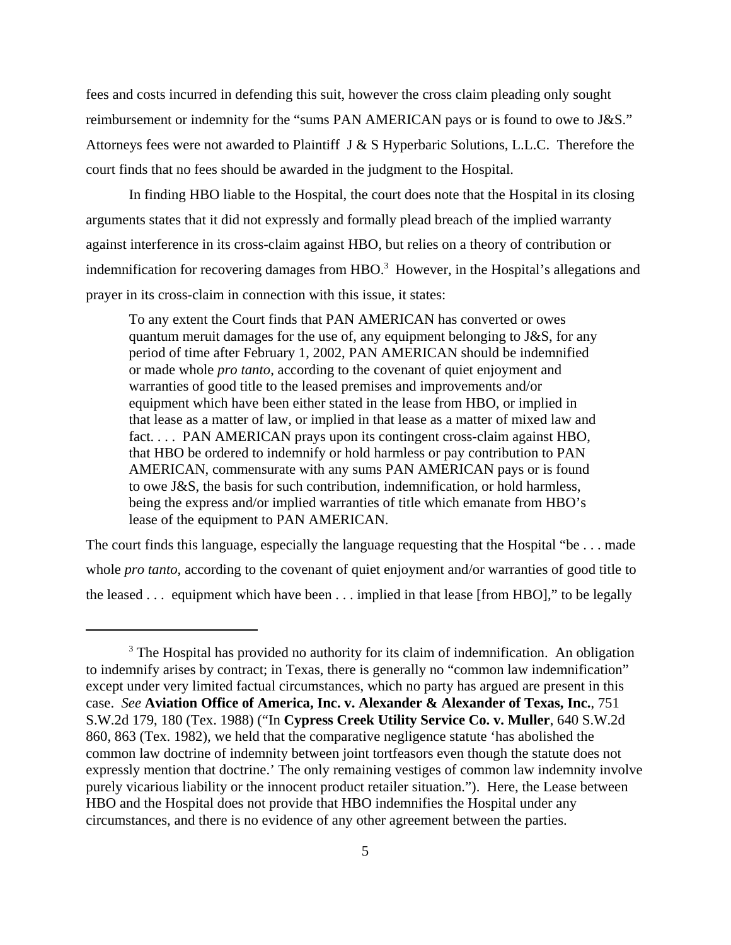fees and costs incurred in defending this suit, however the cross claim pleading only sought reimbursement or indemnity for the "sums PAN AMERICAN pays or is found to owe to J&S." Attorneys fees were not awarded to Plaintiff J & S Hyperbaric Solutions, L.L.C. Therefore the court finds that no fees should be awarded in the judgment to the Hospital.

In finding HBO liable to the Hospital, the court does note that the Hospital in its closing arguments states that it did not expressly and formally plead breach of the implied warranty against interference in its cross-claim against HBO, but relies on a theory of contribution or indemnification for recovering damages from  $HBO$ <sup>3</sup> However, in the Hospital's allegations and prayer in its cross-claim in connection with this issue, it states:

To any extent the Court finds that PAN AMERICAN has converted or owes quantum meruit damages for the use of, any equipment belonging to J&S, for any period of time after February 1, 2002, PAN AMERICAN should be indemnified or made whole *pro tanto*, according to the covenant of quiet enjoyment and warranties of good title to the leased premises and improvements and/or equipment which have been either stated in the lease from HBO, or implied in that lease as a matter of law, or implied in that lease as a matter of mixed law and fact. . . . PAN AMERICAN prays upon its contingent cross-claim against HBO, that HBO be ordered to indemnify or hold harmless or pay contribution to PAN AMERICAN, commensurate with any sums PAN AMERICAN pays or is found to owe J&S, the basis for such contribution, indemnification, or hold harmless, being the express and/or implied warranties of title which emanate from HBO's lease of the equipment to PAN AMERICAN.

The court finds this language, especially the language requesting that the Hospital "be . . . made whole *pro tanto*, according to the covenant of quiet enjoyment and/or warranties of good title to the leased . . . equipment which have been . . . implied in that lease [from HBO]," to be legally

<sup>&</sup>lt;sup>3</sup> The Hospital has provided no authority for its claim of indemnification. An obligation to indemnify arises by contract; in Texas, there is generally no "common law indemnification" except under very limited factual circumstances, which no party has argued are present in this case. *See* **Aviation Office of America, Inc. v. Alexander & Alexander of Texas, Inc.**, 751 S.W.2d 179, 180 (Tex. 1988) ("In **Cypress Creek Utility Service Co. v. Muller**, 640 S.W.2d 860, 863 (Tex. 1982), we held that the comparative negligence statute 'has abolished the common law doctrine of indemnity between joint tortfeasors even though the statute does not expressly mention that doctrine.' The only remaining vestiges of common law indemnity involve purely vicarious liability or the innocent product retailer situation."). Here, the Lease between HBO and the Hospital does not provide that HBO indemnifies the Hospital under any circumstances, and there is no evidence of any other agreement between the parties.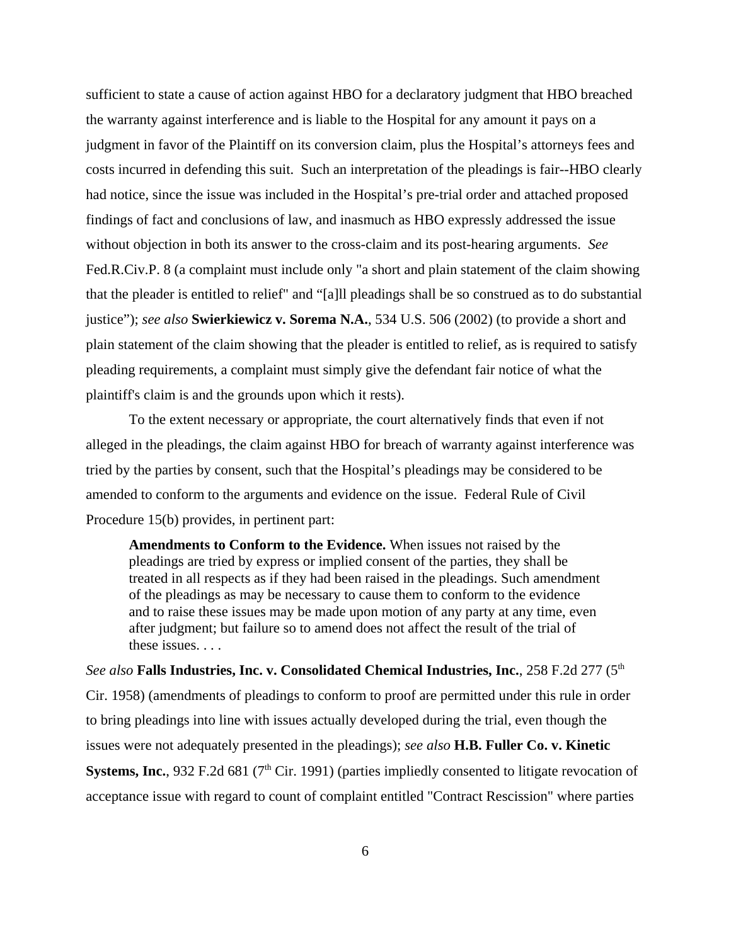sufficient to state a cause of action against HBO for a declaratory judgment that HBO breached the warranty against interference and is liable to the Hospital for any amount it pays on a judgment in favor of the Plaintiff on its conversion claim, plus the Hospital's attorneys fees and costs incurred in defending this suit. Such an interpretation of the pleadings is fair--HBO clearly had notice, since the issue was included in the Hospital's pre-trial order and attached proposed findings of fact and conclusions of law, and inasmuch as HBO expressly addressed the issue without objection in both its answer to the cross-claim and its post-hearing arguments. *See* Fed.R.Civ.P. 8 (a complaint must include only "a short and plain statement of the claim showing that the pleader is entitled to relief" and "[a]ll pleadings shall be so construed as to do substantial justice"); *see also* **Swierkiewicz v. Sorema N.A.**, 534 U.S. 506 (2002) (to provide a short and plain statement of the claim showing that the pleader is entitled to relief, as is required to satisfy pleading requirements, a complaint must simply give the defendant fair notice of what the plaintiff's claim is and the grounds upon which it rests).

To the extent necessary or appropriate, the court alternatively finds that even if not alleged in the pleadings, the claim against HBO for breach of warranty against interference was tried by the parties by consent, such that the Hospital's pleadings may be considered to be amended to conform to the arguments and evidence on the issue. Federal Rule of Civil Procedure 15(b) provides, in pertinent part:

**Amendments to Conform to the Evidence.** When issues not raised by the pleadings are tried by express or implied consent of the parties, they shall be treated in all respects as if they had been raised in the pleadings. Such amendment of the pleadings as may be necessary to cause them to conform to the evidence and to raise these issues may be made upon motion of any party at any time, even after judgment; but failure so to amend does not affect the result of the trial of these issues. . . .

*See also* **Falls Industries, Inc. v. Consolidated Chemical Industries, Inc.**, 258 F.2d 277 (5th Cir. 1958) (amendments of pleadings to conform to proof are permitted under this rule in order to bring pleadings into line with issues actually developed during the trial, even though the issues were not adequately presented in the pleadings); *see also* **H.B. Fuller Co. v. Kinetic Systems, Inc.**, 932 F.2d 681 (7<sup>th</sup> Cir. 1991) (parties impliedly consented to litigate revocation of acceptance issue with regard to count of complaint entitled "Contract Rescission" where parties